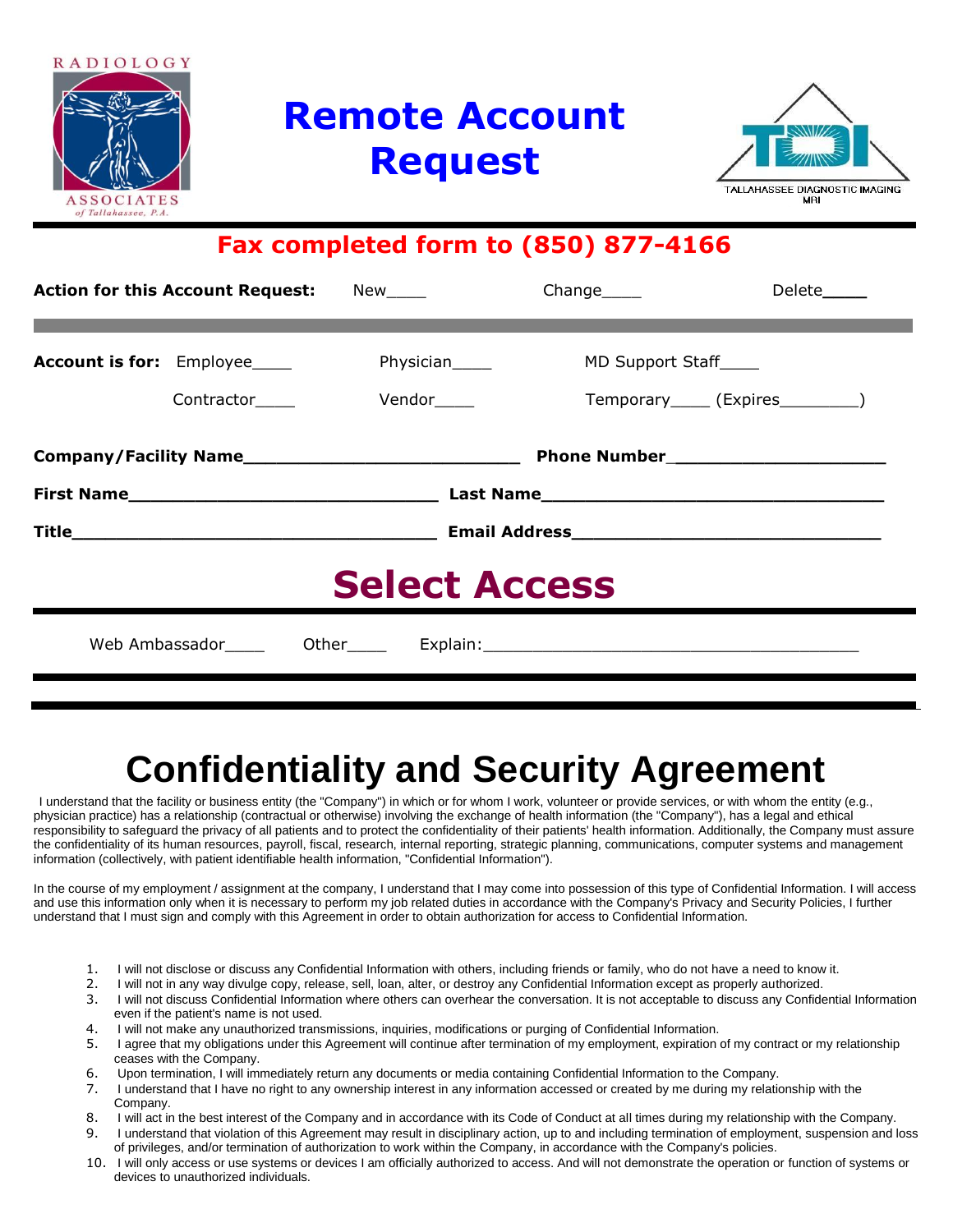

# **Remote Account Request**



### **Fax completed form to (850) 877-4166**

|                                     | <b>Action for this Account Request:</b> | New_____    |                                         | Delete______                         |  |  |
|-------------------------------------|-----------------------------------------|-------------|-----------------------------------------|--------------------------------------|--|--|
| <b>Account is for:</b> Employee____ | Contractor____                          | Vendor_____ | MD Support Staff_____<br>Physician_____ | Temporary______ (Expires___________) |  |  |
|                                     |                                         |             |                                         |                                      |  |  |
|                                     |                                         |             |                                         |                                      |  |  |
| <b>Select Access</b>                |                                         |             |                                         |                                      |  |  |
|                                     |                                         |             |                                         |                                      |  |  |

## **Confidentiality and Security Agreement**

I understand that the facility or business entity (the "Company") in which or for whom I work, volunteer or provide services, or with whom the entity (e.g., physician practice) has a relationship (contractual or otherwise) involving the exchange of health information (the "Company"), has a legal and ethical responsibility to safeguard the privacy of all patients and to protect the confidentiality of their patients' health information. Additionally, the Company must assure the confidentiality of its human resources, payroll, fiscal, research, internal reporting, strategic planning, communications, computer systems and management information (collectively, with patient identifiable health information, "Confidential Information").

In the course of my employment / assignment at the company, I understand that I may come into possession of this type of Confidential Information. I will access and use this information only when it is necessary to perform my job related duties in accordance with the Company's Privacy and Security Policies, I further understand that I must sign and comply with this Agreement in order to obtain authorization for access to Confidential Information.

- 1. I will not disclose or discuss any Confidential Information with others, including friends or family, who do not have a need to know it.
- 2. I will not in any way divulge copy, release, sell, loan, alter, or destroy any Confidential Information except as properly authorized.
- 3. I will not discuss Confidential Information where others can overhear the conversation. It is not acceptable to discuss any Confidential Information even if the patient's name is not used.
- 4. I will not make any unauthorized transmissions, inquiries, modifications or purging of Confidential Information.
- 5. I agree that my obligations under this Agreement will continue after termination of my employment, expiration of my contract or my relationship ceases with the Company.
- 6. Upon termination, I will immediately return any documents or media containing Confidential Information to the Company.
- 7. I understand that I have no right to any ownership interest in any information accessed or created by me during my relationship with the Company.
- 8. I will act in the best interest of the Company and in accordance with its Code of Conduct at all times during my relationship with the Company. 9. I understand that violation of this Agreement may result in disciplinary action, up to and including termination of employment, suspension and loss
- of privileges, and/or termination of authorization to work within the Company, in accordance with the Company's policies. 10. I will only access or use systems or devices I am officially authorized to access. And will not demonstrate the operation or function of systems or
- devices to unauthorized individuals.